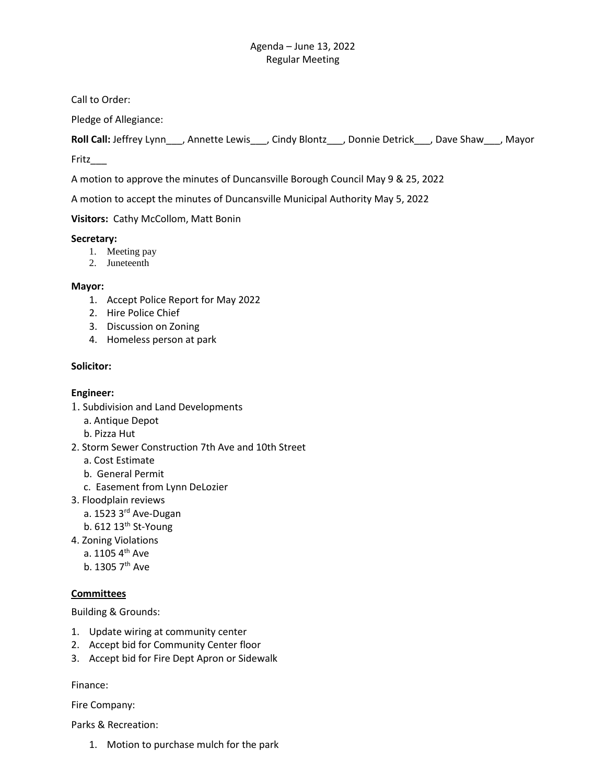Call to Order:

Pledge of Allegiance:

**Roll Call:** Jeffrey Lynn\_\_\_, Annette Lewis\_\_\_, Cindy Blontz\_\_\_, Donnie Detrick\_\_\_, Dave Shaw\_\_\_, Mayor

Fritz\_\_\_

A motion to approve the minutes of Duncansville Borough Council May 9 & 25, 2022

A motion to accept the minutes of Duncansville Municipal Authority May 5, 2022

**Visitors:** Cathy McCollom, Matt Bonin

## **Secretary:**

- 1. Meeting pay
- 2. Juneteenth

## **Mayor:**

- 1. Accept Police Report for May 2022
- 2. Hire Police Chief
- 3. Discussion on Zoning
- 4. Homeless person at park

# **Solicitor:**

## **Engineer:**

- 1. Subdivision and Land Developments
	- a. Antique Depot
	- b. Pizza Hut
- 2. Storm Sewer Construction 7th Ave and 10th Street
	- a. Cost Estimate
	- b. General Permit
	- c. Easement from Lynn DeLozier
- 3. Floodplain reviews
	- a. 1523 3rd Ave-Dugan
	- b.  $612$   $13<sup>th</sup>$  St-Young
- 4. Zoning Violations
	- a.  $1105.4$ <sup>th</sup> Ave
	- b. 1305 7<sup>th</sup> Ave

## **Committees**

Building & Grounds:

- 1. Update wiring at community center
- 2. Accept bid for Community Center floor
- 3. Accept bid for Fire Dept Apron or Sidewalk

Finance:

Fire Company:

Parks & Recreation:

1. Motion to purchase mulch for the park